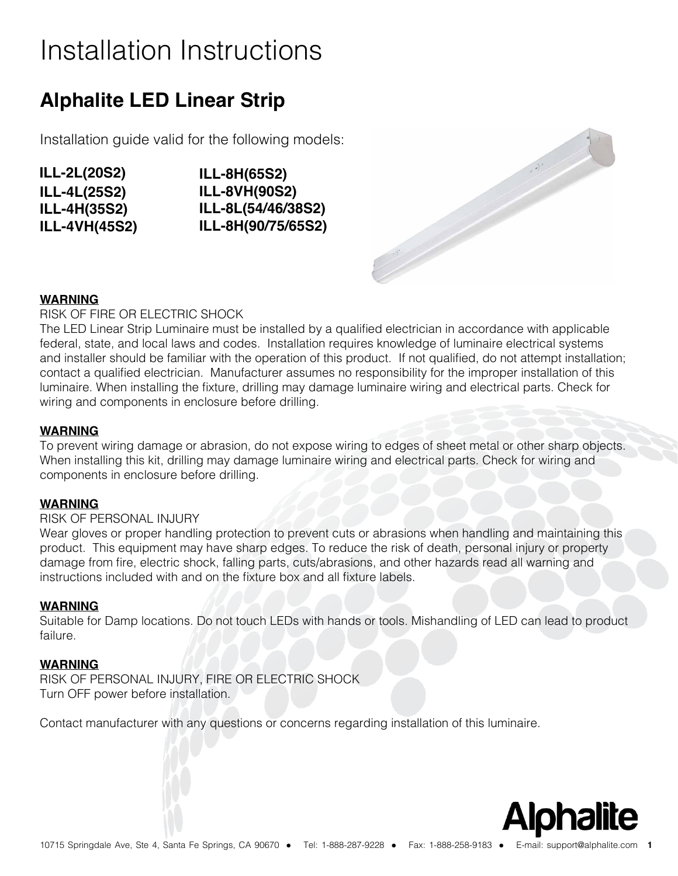# Installation Instructions

## **Alphalite LED Linear Strip**

Installation guide valid for the following models:

- **ILL-4L(25S2) ILL-4H(35S2) ILL-4VH(45S2) ILL-2L(20S2)**
- **ILL-8H(65S2) ILL-8VH(90S2) ILL-8L(54/46/38S2) ILL-8H(90/75/65S2)**



### **WARNING**

RISK OF FIRE OR ELECTRIC SHOCK

The LED Linear Strip Luminaire must be installed by a qualified electrician in accordance with applicable federal, state, and local laws and codes. Installation requires knowledge of luminaire electrical systems and installer should be familiar with the operation of this product. If not qualified, do not attempt installation; contact a qualified electrician. Manufacturer assumes no responsibility for the improper installation of this luminaire. When installing the fixture, drilling may damage luminaire wiring and electrical parts. Check for wiring and components in enclosure before drilling.

#### **WARNING**

To prevent wiring damage or abrasion, do not expose wiring to edges of sheet metal or other sharp objects. When installing this kit, drilling may damage luminaire wiring and electrical parts. Check for wiring and components in enclosure before drilling.

#### **WARNING**

#### RISK OF PERSONAL INJURY

Wear gloves or proper handling protection to prevent cuts or abrasions when handling and maintaining this product. This equipment may have sharp edges. To reduce the risk of death, personal injury or property damage from fire, electric shock, falling parts, cuts/abrasions, and other hazards read all warning and instructions included with and on the fixture box and all fixture labels.

#### **WARNING**

Suitable for Damp locations. Do not touch LEDs with hands or tools. Mishandling of LED can lead to product failure.

#### **WARNING**

RISK OF PERSONAL INJURY, FIRE OR ELECTRIC SHOCK Turn OFF power before installation.

Contact manufacturer with any questions or concerns regarding installation of this luminaire.

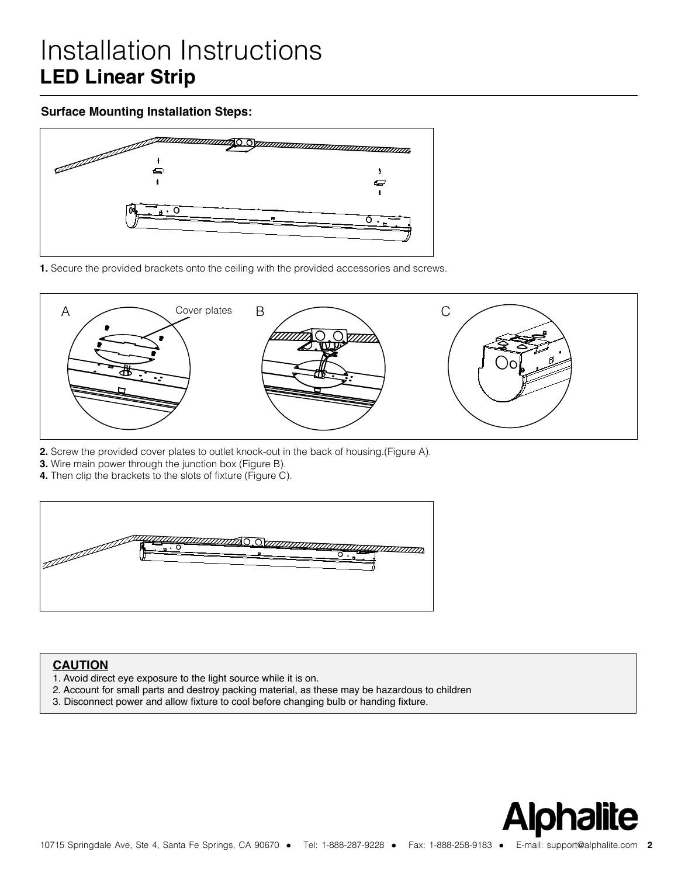## **Installation Instructions LED Linear Strip** Surface Mounting

## **Surface Mounting Installation Steps:**



**1.** Secure the provided brackets onto the ceiling with the provided accessories and screws.



- **2.** Screw the provided cover plates to outlet knock-out in the back of housing.(Figure A).
- **3.** Wire main power through the junction box (Figure B).
- **4.** Then clip the brackets to the slots of fixture (Figure C).



#### **CAUTION**

- 1. Avoid direct eye exposure to the light source while it is on.
- 2. Account for small parts and destroy packing material, as these may be hazardous to children
- 3. Disconnect power and allow fixture to cool before changing bulb or handing fixture.

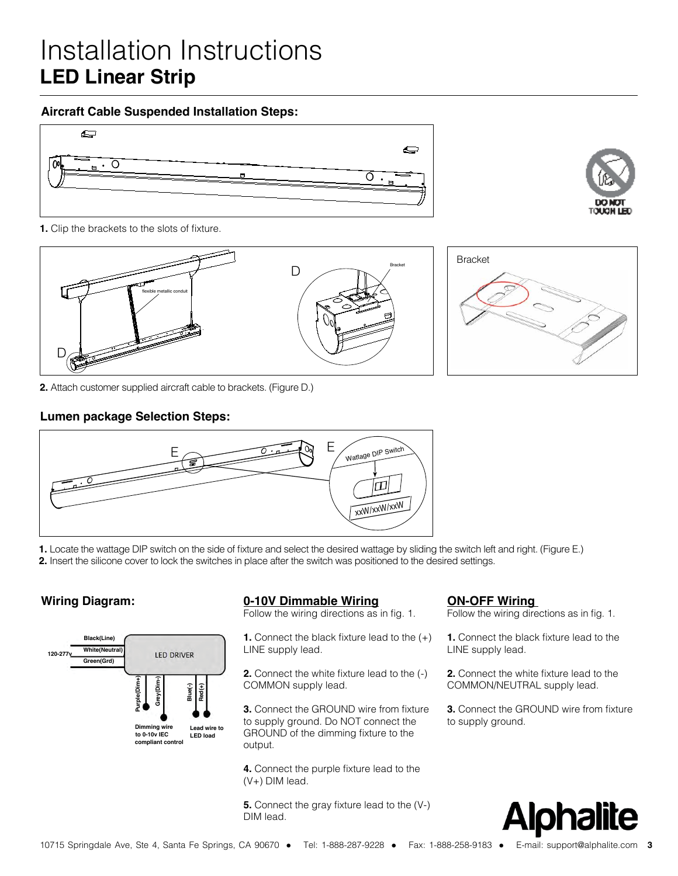# Installation Instructions **LED Linear Strip**

#### **Aircraft Cable Suspended Installation Steps:**





**1.** Clip the brackets to the slots of fixture.



**2.** Attach customer supplied aircraft cable to brackets. (Figure D.)

### **Lumen package Selection Steps:**



**1.** Locate the wattage DIP switch on the side of fixture and select the desired wattage by sliding the switch left and right. (Figure E.) **2.** Insert the silicone cover to lock the switches in place after the switch was positioned to the desired settings.



#### **Wiring Diagram: ON-OFF Wiring 0-10V Dimmable Wiring**

Follow the wiring directions as in fig. 1.

**1.** Connect the black fixture lead to the (+) LINE supply lead.

**2.** Connect the white fixture lead to the  $(\cdot)$ 

**3.** Connect the GROUND wire from fixture to supply ground. Do NOT connect the output.

**4.** Connect the purple fixture lead to the (V+) DIM lead.

**5.** Connect the gray fixture lead to the (V-) DIM lead.

Follow the wiring directions as in fig. 1.

**1.** Connect the black fixture lead to the LINE supply lead.

**2.** Connect the white fixture lead to the COMMON/NEUTRAL supply lead.

**3.** Connect the GROUND wire from fixture to supply ground.